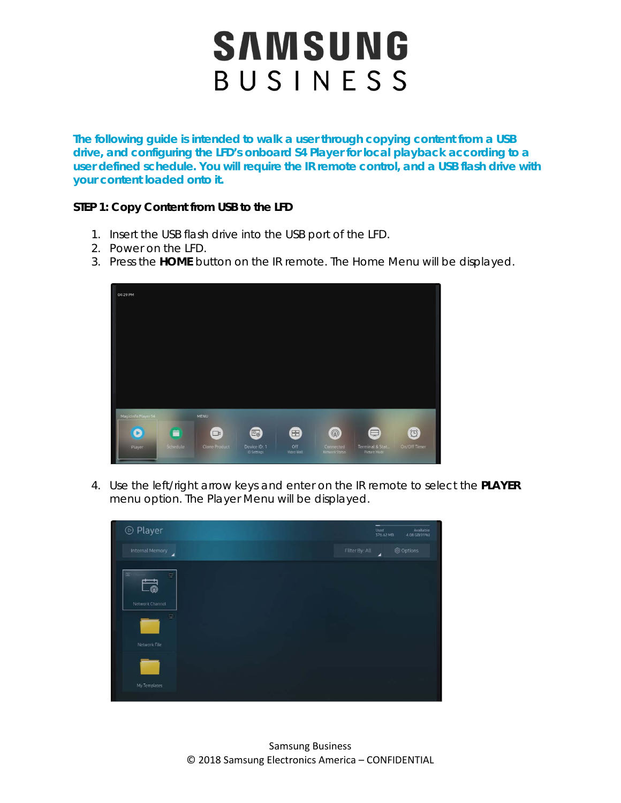**The following guide is intended to walk a user through copying content from a USB drive, and configuring the LFD's onboard S4 Player for local playback according to a user defined schedule. You will require the IR remote control, and a USB flash drive with your content loaded onto it.** 

#### **STEP 1: Copy Content from USB to the LFD**

- 1. Insert the USB flash drive into the USB port of the LFD.
- 2. Power on the LFD.
- 3. Press the **HOME** button on the IR remote. The Home Menu will be displayed.



4. Use the left/right arrow keys and enter on the IR remote to select the **PLAYER** menu option. The Player Menu will be displayed.

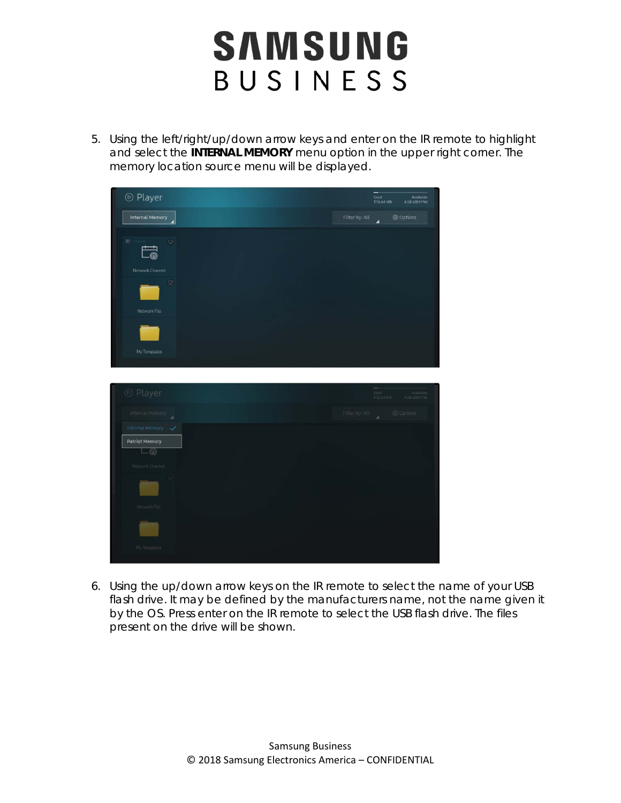5. Using the left/right/up/down arrow keys and enter on the IR remote to highlight and select the **INTERNAL MEMORY** menu option in the upper right corner. The memory location source menu will be displayed.



6. Using the up/down arrow keys on the IR remote to select the name of your USB flash drive. It may be defined by the manufacturers name, not the name given it by the OS. Press enter on the IR remote to select the USB flash drive. The files present on the drive will be shown.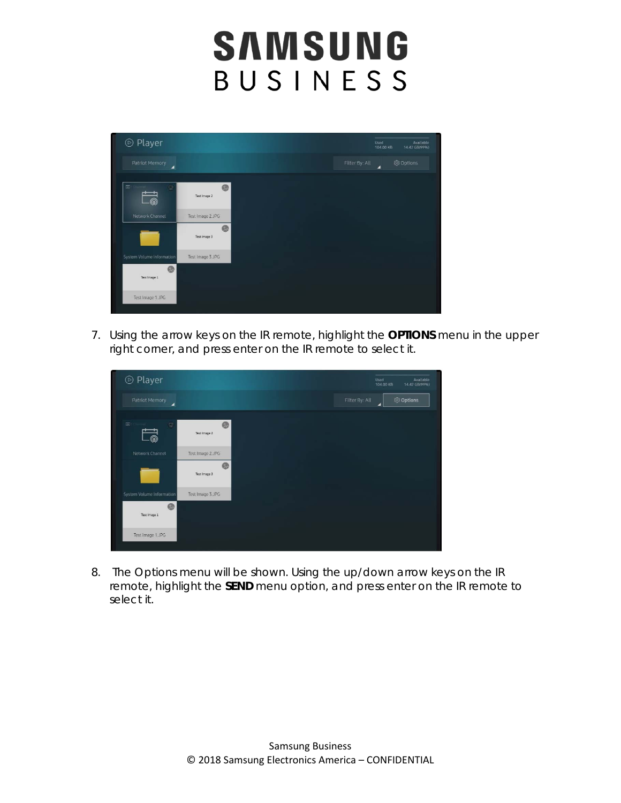

7. Using the arrow keys on the IR remote, highlight the **OPTIONS** menu in the upper right corner, and press enter on the IR remote to select it.

| <b>⊙</b> Player                               |                   |                | Used<br>Available<br>14.42 GB(99%)<br>104.00 KB |
|-----------------------------------------------|-------------------|----------------|-------------------------------------------------|
| Patriot Memory<br>◢                           |                   | Filter By: All | <b>@ Options</b><br>z                           |
|                                               |                   |                |                                                 |
| $\Box$<br>$\overline{\mathbb{R}}$<br><b>®</b> | ø<br>Test Image 2 |                |                                                 |
| Network Channel                               | Test Image 2.JPG  |                |                                                 |
|                                               | 0<br>Test Image 3 |                |                                                 |
| System Volume Information                     | Test Image 3.JPG  |                |                                                 |
| ◎<br>Test Image 1                             |                   |                |                                                 |
| Test Image 1.JPG                              |                   |                |                                                 |

8. The Options menu will be shown. Using the up/down arrow keys on the IR remote, highlight the **SEND** menu option, and press enter on the IR remote to select it.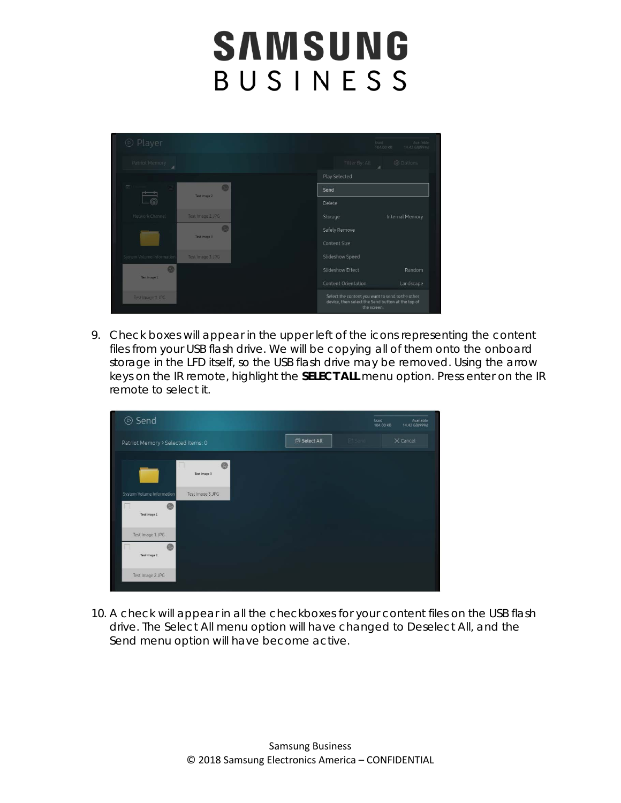

9. Check boxes will appear in the upper left of the icons representing the content files from your USB flash drive. We will be copying all of them onto the onboard storage in the LFD itself, so the USB flash drive may be removed. Using the arrow keys on the IR remote, highlight the **SELECT ALL** menu option. Press enter on the IR remote to select it.



10. A check will appear in all the checkboxes for your content files on the USB flash drive. The Select All menu option will have changed to Deselect All, and the Send menu option will have become active.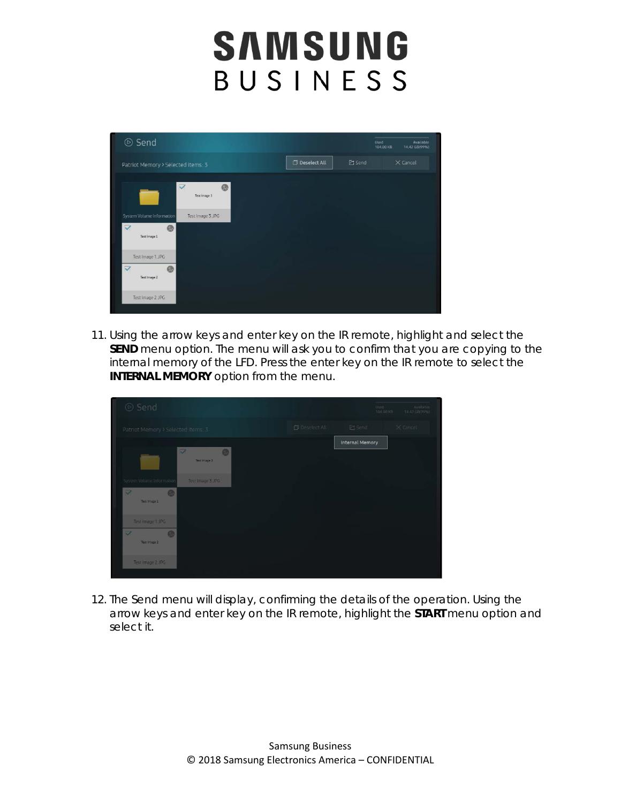

11. Using the arrow keys and enter key on the IR remote, highlight and select the **SEND** menu option. The menu will ask you to confirm that you are copying to the internal memory of the LFD. Press the enter key on the IR remote to select the **INTERNAL MEMORY** option from the menu.



12. The Send menu will display, confirming the details of the operation. Using the arrow keys and enter key on the IR remote, highlight the **START** menu option and select it.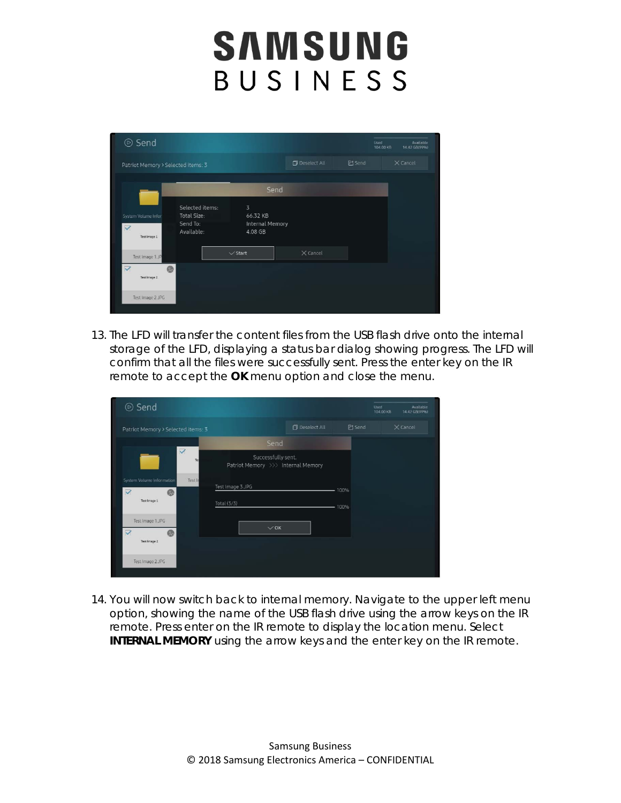| <b>⊙</b> Send                           |                                |                                   |                     |               | Used<br>104.00 KB | Available<br>14.42 GB(99%) |
|-----------------------------------------|--------------------------------|-----------------------------------|---------------------|---------------|-------------------|----------------------------|
| Patriot Memory > Selected items: 3      |                                |                                   | <b>Deselect All</b> | <b>乙</b> Send |                   | $\times$ Cancel            |
|                                         |                                | Send                              |                     |               |                   |                            |
| System Volume Infor                     | Selected items:<br>Total Size: | 3<br>66.32 KB                     |                     |               |                   |                            |
| $\overline{\checkmark}$<br>Test Image 1 | Send To:<br>Available:         | <b>Internal Memory</b><br>4.08 GB |                     |               |                   |                            |
| Test Image 1.JP                         |                                | $\vee$ Start                      | $\times$ Cancel     |               |                   |                            |
| $\triangledown$<br>Test Image 2         |                                |                                   |                     |               |                   |                            |
| Test Image 2.JPG                        |                                |                                   |                     |               |                   |                            |

13. The LFD will transfer the content files from the USB flash drive onto the internal storage of the LFD, displaying a status bar dialog showing progress. The LFD will confirm that all the files were successfully sent. Press the enter key on the IR remote to accept the **OK** menu option and close the menu.

| <b>⊙</b> Send                        |                                                          |                     |               | Used<br>Available<br>14.42 GB(99%)<br>104.00 KB |
|--------------------------------------|----------------------------------------------------------|---------------------|---------------|-------------------------------------------------|
| Patriot Memory > Selected items: 3   |                                                          | <b>Deselect All</b> | <b>C</b> Send | $\times$ Cancel                                 |
|                                      | Send                                                     |                     |               |                                                 |
| $\overline{\mathsf{v}}$<br>Ter       | Successfully sent.<br>Patriot Memory >>> Internal Memory |                     |               |                                                 |
| System Volume Information<br>Test In | Test Image 3.JPG                                         |                     |               |                                                 |
| ▽<br>Ø.                              |                                                          |                     | 100%          |                                                 |
| Test Image 1                         | Total (3/3)                                              |                     | 100%          |                                                 |
| Test Image 1.JPG                     | $\vee$ OK                                                |                     |               |                                                 |
| $\triangledown$<br>۰<br>Test Image 2 |                                                          |                     |               |                                                 |
| Test Image 2.JPG                     |                                                          |                     |               |                                                 |

14. You will now switch back to internal memory. Navigate to the upper left menu option, showing the name of the USB flash drive using the arrow keys on the IR remote. Press enter on the IR remote to display the location menu. Select **INTERNAL MEMORY** using the arrow keys and the enter key on the IR remote.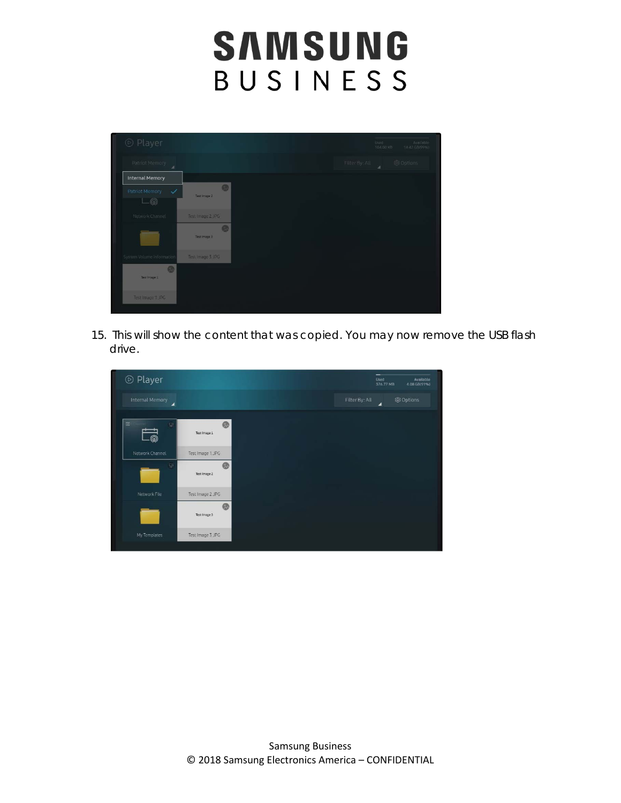| ◎ Player                                       |                    |  |                | Used-<br>104.00 KB | Available<br>14.42 GB(99%) |
|------------------------------------------------|--------------------|--|----------------|--------------------|----------------------------|
| Patriot Memory<br>z                            |                    |  | Filter By: All | ä                  | @ Options                  |
| <b>Internal Memory</b>                         |                    |  |                |                    |                            |
| Patriot Memory<br>$\checkmark$<br>$\mathbb{Q}$ | Ø.<br>Test Image 2 |  |                |                    |                            |
| Network Channel                                | Test Image 2.JPG   |  |                |                    |                            |
|                                                | Ø<br>Test Image 3  |  |                |                    |                            |
| System Volume Information                      | Test Image 3.JPG   |  |                |                    |                            |
| Ø<br>Test Image 1                              |                    |  |                |                    |                            |
| Test Image 1.JPG                               |                    |  |                |                    |                            |

15. This will show the content that was copied. You may now remove the USB flash drive.

| <b>⊙</b> Player      |                   |  |                | Used<br>376.77 MB | Available<br>4.08 GB(91%) |
|----------------------|-------------------|--|----------------|-------------------|---------------------------|
| Internal Memory<br>◢ |                   |  | Filter By: All | $\blacksquare$    | @ Options                 |
| $\Xi$<br>$\Box$<br>⋒ | e<br>Test Image 1 |  |                |                   |                           |
| Network Channel      | Test Image 1.JPG  |  |                |                   |                           |
| 量                    | 0<br>Test Image 2 |  |                |                   |                           |
| Network File         | Test Image 2.JPG  |  |                |                   |                           |
|                      | @<br>Test Image 3 |  |                |                   |                           |
| My Templates         | Test Image 3.JPG  |  |                |                   |                           |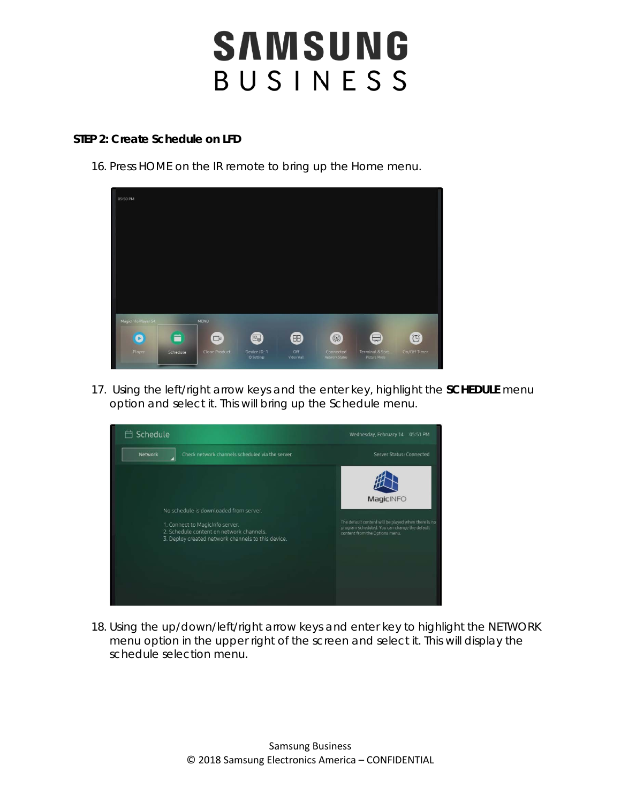#### **STEP 2: Create Schedule on LFD**

16. Press HOME on the IR remote to bring up the Home menu.



17. Using the left/right arrow keys and the enter key, highlight the **SCHEDULE** menu option and select it. This will bring up the Schedule menu.



18. Using the up/down/left/right arrow keys and enter key to highlight the NETWORK menu option in the upper right of the screen and select it. This will display the schedule selection menu.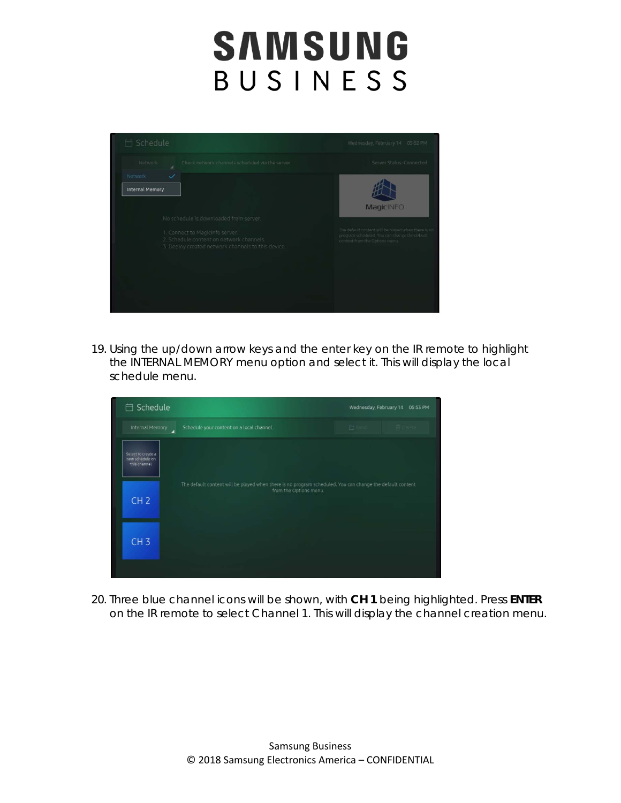

19. Using the up/down arrow keys and the enter key on the IR remote to highlight the INTERNAL MEMORY menu option and select it. This will display the local schedule menu.



20. Three blue channel icons will be shown, with **CH 1** being highlighted. Press **ENTER** on the IR remote to select Channel 1. This will display the channel creation menu.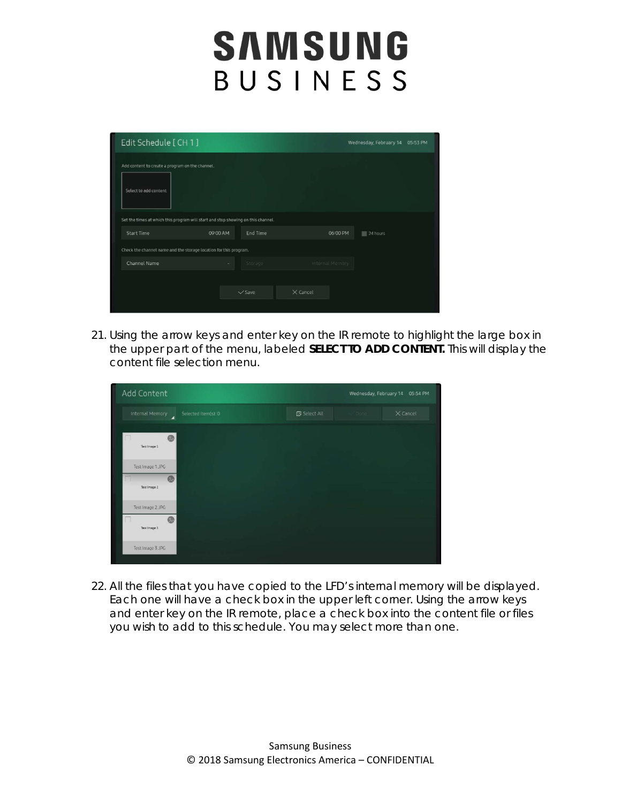| Edit Schedule [CH 1]                                                                                  |          |             |                 | Wednesday, February 14 05:53 PM |
|-------------------------------------------------------------------------------------------------------|----------|-------------|-----------------|---------------------------------|
| Add content to create a program on the channel.<br>Select to add content                              |          |             |                 |                                 |
| Set the times at which this program will start and stop showing on this channel.<br><b>Start Time</b> | 09:00 AM | End Time    | 06:00 PM        | 24 hours                        |
| Check the channel name and the storage location for this program.                                     |          |             |                 |                                 |
| Channel Name                                                                                          | ٠        | Storage     | Internal Memory |                                 |
|                                                                                                       |          | $\vee$ Save | $\times$ Cancel |                                 |

21. Using the arrow keys and enter key on the IR remote to highlight the large box in the upper part of the menu, labeled **SELECT TO ADD CONTENT.** This will display the content file selection menu.

| Add Content                                 |                     | Wednesday, February 14 | 05:54 PM        |
|---------------------------------------------|---------------------|------------------------|-----------------|
| Internal Memory<br>Selected item(s): 0<br>◢ | <b>图</b> Select All | ODone:                 | $\times$ Cancel |
| œ<br>Test Image 1                           |                     |                        |                 |
| Test Image 1.JPG<br>ø<br>Test Image 2       |                     |                        |                 |
| Test Image 2.JPG<br>ø<br>Test Image 3       |                     |                        |                 |
| Test Image 3.JPG                            |                     |                        |                 |

22. All the files that you have copied to the LFD's internal memory will be displayed. Each one will have a check box in the upper left corner. Using the arrow keys and enter key on the IR remote, place a check box into the content file or files you wish to add to this schedule. You may select more than one.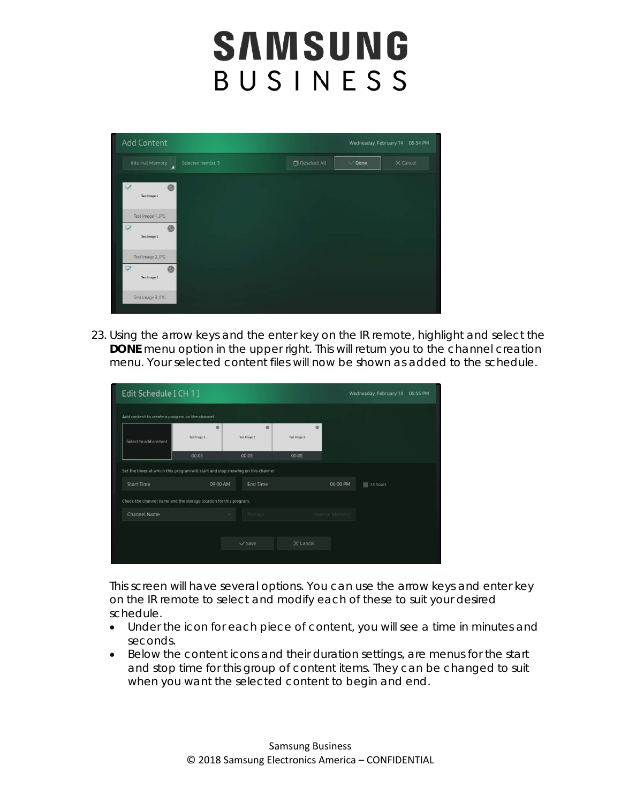| Add Content                                                |                     |                       | Wednesday, February 14 | 05:54 PM   |
|------------------------------------------------------------|---------------------|-----------------------|------------------------|------------|
| Internal Memory<br>◢                                       | Selected item(s): 3 | <b>D</b> Deselect All | $\vee$ Done            | $X$ Cancel |
| $\triangledown$<br>e<br>Test Image 1                       |                     |                       |                        |            |
| Test Image 1.JPG<br>$\triangledown$<br>⊛<br>Test Image 2   |                     |                       |                        |            |
| Test Image 2.JPG<br>$\overline{\vee}$<br>®<br>Test Image 3 |                     |                       |                        |            |
| Test Image 3.JPG                                           |                     |                       |                        |            |

23. Using the arrow keys and the enter key on the IR remote, highlight and select the **DONE** menu option in the upper right. This will return you to the channel creation menu. Your selected content files will now be shown as added to the schedule.

| Edit Schedule [CH 1]                                                             |                   |                   |                   |                 | Wednesday, February 14<br>05:55 PM |
|----------------------------------------------------------------------------------|-------------------|-------------------|-------------------|-----------------|------------------------------------|
| Add content to create a program on the channel.                                  |                   |                   |                   |                 |                                    |
| Select to add content                                                            | ø<br>Test Image 1 | ø<br>Test Image 2 | ø<br>Test Image 3 |                 |                                    |
|                                                                                  | 00:05             | 00:05             | 00:05             |                 |                                    |
| Set the times at which this program will start and stop showing on this channel. |                   |                   |                   |                 |                                    |
| <b>Start Time</b>                                                                | 09:00 AM          | End Time          |                   | 06:00 PM        | 24 hours                           |
| Check the channel name and the storage location for this program.                |                   |                   |                   |                 |                                    |
| Channel Name                                                                     |                   | Storage           |                   | Internal Memory |                                    |
|                                                                                  |                   |                   |                   |                 |                                    |
|                                                                                  |                   | $\vee$ Save       | $\times$ Cancel   |                 |                                    |
|                                                                                  |                   |                   |                   |                 |                                    |

This screen will have several options. You can use the arrow keys and enter key on the IR remote to select and modify each of these to suit your desired schedule.

- Under the icon for each piece of content, you will see a time in minutes and seconds.
- Below the content icons and their duration settings, are menus for the start and stop time for this group of content items. They can be changed to suit when you want the selected content to begin and end.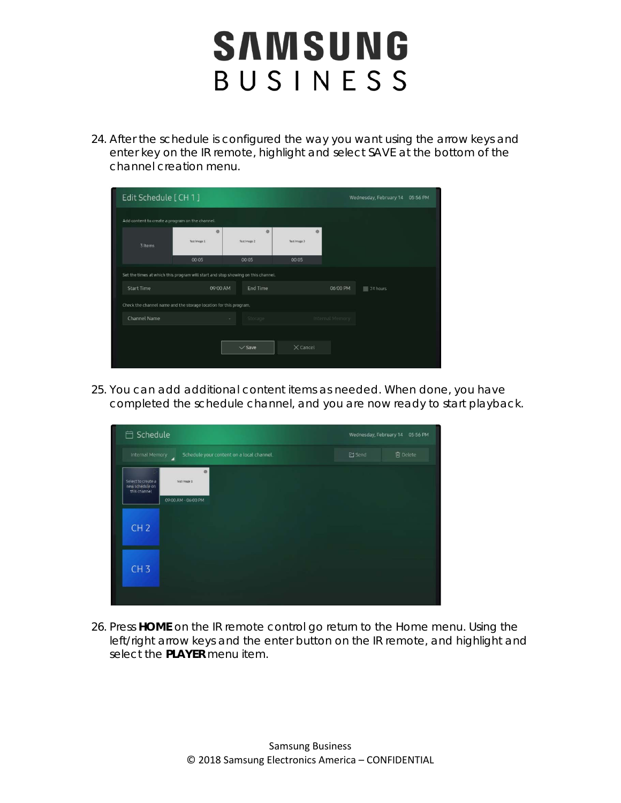24. After the schedule is configured the way you want using the arrow keys and enter key on the IR remote, highlight and select SAVE at the bottom of the channel creation menu.

| Edit Schedule [ CH 1 ]                                                           | Wednesday, February 14<br>05:56 PM |                   |                   |                 |          |
|----------------------------------------------------------------------------------|------------------------------------|-------------------|-------------------|-----------------|----------|
| Add content to create a program on the channel.                                  |                                    |                   |                   |                 |          |
| 3 Items                                                                          | Ø<br>Test Irrage 1                 | ø<br>Test Image 2 | ø<br>Test Image 3 |                 |          |
|                                                                                  | 00:05                              | 00:05             | 00:05             |                 |          |
| Set the times at which this program will start and stop showing on this channel. |                                    |                   |                   |                 |          |
| <b>Start Time</b>                                                                | 09:00 AM                           | End Time          |                   | 06:00 PM        | 24 hours |
| Check the channel name and the storage location for this program.                |                                    |                   |                   |                 |          |
| Channel Name                                                                     | ٠                                  | Storage           |                   | Internal Memory |          |
|                                                                                  |                                    |                   |                   |                 |          |
|                                                                                  |                                    | $\vee$ Save       | $\times$ Cancel   |                 |          |
|                                                                                  |                                    |                   |                   |                 |          |

25. You can add additional content items as needed. When done, you have completed the schedule channel, and you are now ready to start playback.



26. Press **HOME** on the IR remote control go return to the Home menu. Using the left/right arrow keys and the enter button on the IR remote, and highlight and select the **PLAYER** menu item.